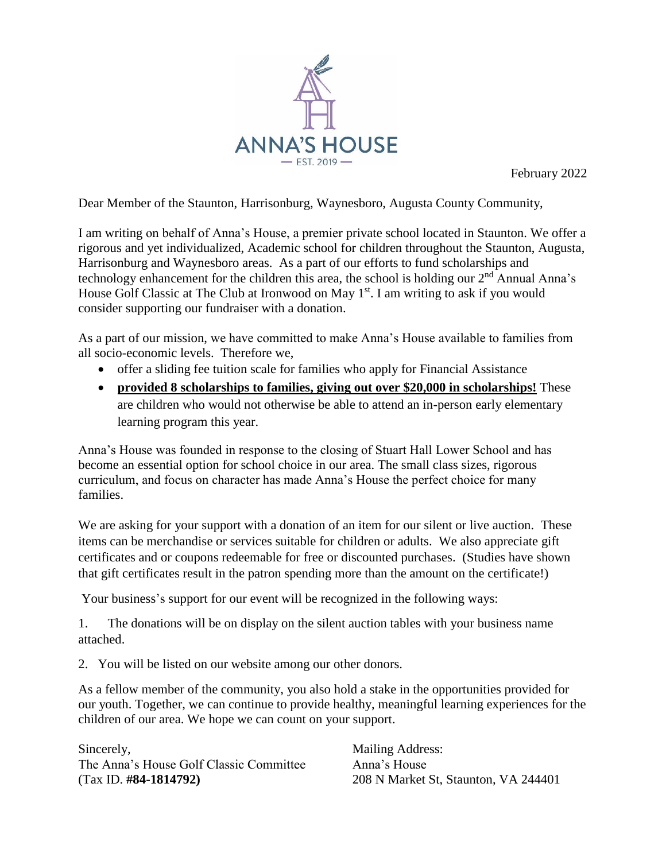

February 2022

Dear Member of the Staunton, Harrisonburg, Waynesboro, Augusta County Community,

I am writing on behalf of Anna's House, a premier private school located in Staunton. We offer a rigorous and yet individualized, Academic school for children throughout the Staunton, Augusta, Harrisonburg and Waynesboro areas. As a part of our efforts to fund scholarships and technology enhancement for the children this area, the school is holding our  $2<sup>nd</sup>$  Annual Anna's House Golf Classic at The Club at Ironwood on May 1<sup>st</sup>. I am writing to ask if you would consider supporting our fundraiser with a donation.

As a part of our mission, we have committed to make Anna's House available to families from all socio-economic levels. Therefore we,

- offer a sliding fee tuition scale for families who apply for Financial Assistance
- **provided 8 scholarships to families, giving out over \$20,000 in scholarships!** These are children who would not otherwise be able to attend an in-person early elementary learning program this year.

Anna's House was founded in response to the closing of Stuart Hall Lower School and has become an essential option for school choice in our area. The small class sizes, rigorous curriculum, and focus on character has made Anna's House the perfect choice for many families.

We are asking for your support with a donation of an item for our silent or live auction. These items can be merchandise or services suitable for children or adults. We also appreciate gift certificates and or coupons redeemable for free or discounted purchases. (Studies have shown that gift certificates result in the patron spending more than the amount on the certificate!)

Your business's support for our event will be recognized in the following ways:

1. The donations will be on display on the silent auction tables with your business name attached.

2. You will be listed on our website among our other donors.

As a fellow member of the community, you also hold a stake in the opportunities provided for our youth. Together, we can continue to provide healthy, meaningful learning experiences for the children of our area. We hope we can count on your support.

Sincerely, **Mailing Address:** The Anna's House Golf Classic Committee Anna's House (Tax ID. **#84-1814792)** 208 N Market St, Staunton, VA 244401